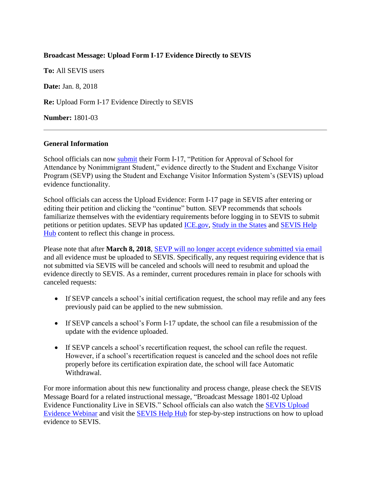## **Broadcast Message: Upload Form I-17 Evidence Directly to SEVIS**

**To:** All SEVIS users

**Date:** Jan. 8, 2018

**Re:** Upload Form I-17 Evidence Directly to SEVIS

**Number:** 1801-03

## **General Information**

School officials can now [submit](https://studyinthestates.dhs.gov/2017/12/upload-evidence-for-the-form-i-17-starting-jan-8-2018) their Form I-17, "Petition for Approval of School for Attendance by Nonimmigrant Student," evidence directly to the Student and Exchange Visitor Program (SEVP) using the Student and Exchange Visitor Information System's (SEVIS) upload evidence functionality.

School officials can access the Upload Evidence: Form I-17 page in SEVIS after entering or editing their petition and clicking the "continue" button. SEVP recommends that schools familiarize themselves with the evidentiary requirements before logging in to SEVIS to submit petitions or petition updates. SEVP has updated [ICE.gov,](https://www.ice.gov/sevis/schools) [Study in the States](https://studyinthestates.dhs.gov/) and [SEVIS Help](https://studyinthestates.dhs.gov/sevis-help-hub)  [Hub](https://studyinthestates.dhs.gov/sevis-help-hub) content to reflect this change in process.

Please note that after **March 8, 2018**, **SEVP** will no longer accept evidence submitted via email and all evidence must be uploaded to SEVIS. Specifically, any request requiring evidence that is not submitted via SEVIS will be canceled and schools will need to resubmit and upload the evidence directly to SEVIS. As a reminder, current procedures remain in place for schools with canceled requests:

- If SEVP cancels a school's initial certification request, the school may refile and any fees previously paid can be applied to the new submission.
- If SEVP cancels a school's Form I-17 update, the school can file a resubmission of the update with the evidence uploaded.
- If SEVP cancels a school's recertification request, the school can refile the request. However, if a school's recertification request is canceled and the school does not refile properly before its certification expiration date, the school will face Automatic Withdrawal.

For more information about this new functionality and process change, please check the SEVIS Message Board for a related instructional message, "Broadcast Message 1801-02 Upload Evidence Functionality Live in SEVIS." School officials can also watch the [SEVIS Upload](https://studyinthestates.dhs.gov/sevis-help-hub/learn-more/webinars/42155)  [Evidence Webinar](https://studyinthestates.dhs.gov/sevis-help-hub/learn-more/webinars/42155) and visit the [SEVIS Help Hub](https://studyinthestates.dhs.gov/sevis-help-hub) for step-by-step instructions on how to upload evidence to SEVIS.